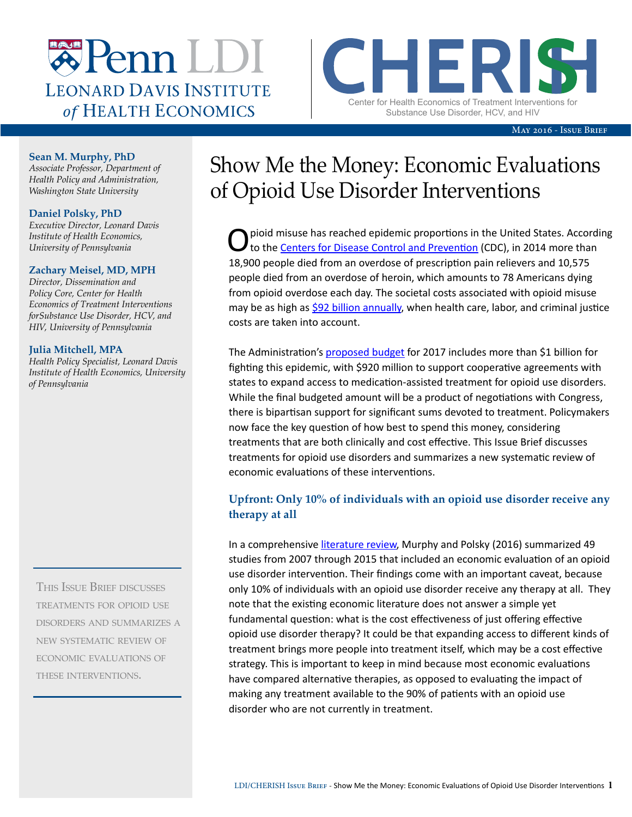

CHERIST Center for Health Economics of Treatment Interventions for Substance Use Disorder, HCV, and HIV

May 2016 - Issue Brief

#### **Sean M. Murphy, PhD**

*Associate Professor, Department of Health Policy and Administration, Washington State University*

#### **Daniel Polsky, PhD**

*Executive Director, Leonard Davis Institute of Health Economics, University of Pennsylvania*

#### **Zachary Meisel, MD, MPH**

*Director, Dissemination and Policy Core, Center for Health Economics of Treatment Interventions forSubstance Use Disorder, HCV, and HIV, University of Pennsylvania*

#### **Julia Mitchell, MPA**

*Health Policy Specialist, Leonard Davis Institute of Health Economics, University of Pennsylvania*

This Issue Brief discusses treatments for opioid use disorders and summarizes a new systematic review of economic evaluations of these interventions.

# Show Me the Money: Economic Evaluations of Opioid Use Disorder Interventions

Opioid misuse has reached epidemic proportions in the United States. According<br>to the Centers for Disease Control and Prevention (CDC), in 2014 more than 18,900 people died from an overdose of prescription pain relievers and 10,575 people died from an overdose of heroin, which amounts to 78 Americans dying from opioid overdose each day. The societal costs associated with opioid misuse may be as high as [\\$92 billion annually,](http://www.ncbi.nlm.nih.gov/pubmed/21392250) when health care, labor, and criminal justice costs are taken into account.

The Administration's [proposed budget](https://www.whitehouse.gov/the-press-office/2016/02/02/president-obama-proposes-11-billion-new-funding-address-prescription) for 2017 includes more than \$1 billion for fighting this epidemic, with \$920 million to support cooperative agreements with states to expand access to medication-assisted treatment for opioid use disorders. While the final budgeted amount will be a product of negotiations with Congress, there is bipartisan support for significant sums devoted to treatment. Policymakers now face the key question of how best to spend this money, considering treatments that are both clinically and cost effective. This Issue Brief discusses treatments for opioid use disorders and summarizes a new systematic review of economic evaluations of these interventions.

# **Upfront: Only 10% of individuals with an opioid use disorder receive any therapy at all**

In a comprehensive [literature review](http://link.springer.com/article/10.1007%2Fs40273-016-0400-5), Murphy and Polsky (2016) summarized 49 studies from 2007 through 2015 that included an economic evaluation of an opioid use disorder intervention. Their findings come with an important caveat, because only 10% of individuals with an opioid use disorder receive any therapy at all. They note that the existing economic literature does not answer a simple yet fundamental question: what is the cost effectiveness of just offering effective opioid use disorder therapy? It could be that expanding access to different kinds of treatment brings more people into treatment itself, which may be a cost effective strategy. This is important to keep in mind because most economic evaluations have compared alternative therapies, as opposed to evaluating the impact of making any treatment available to the 90% of patients with an opioid use disorder who are not currently in treatment.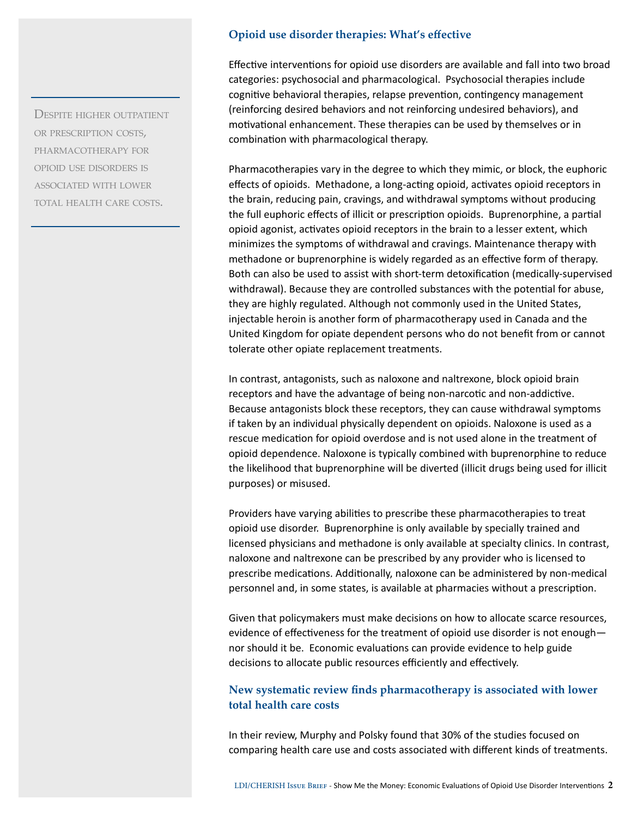Despite higher outpatient or prescription costs, pharmacotherapy for opioid use disorders is associated with lower TOTAL HEALTH CARE COSTS.

## **Opioid use disorder therapies: What's effective**

Effective interventions for opioid use disorders are available and fall into two broad categories: psychosocial and pharmacological. Psychosocial therapies include cognitive behavioral therapies, relapse prevention, contingency management (reinforcing desired behaviors and not reinforcing undesired behaviors), and motivational enhancement. These therapies can be used by themselves or in combination with pharmacological therapy.

Pharmacotherapies vary in the degree to which they mimic, or block, the euphoric effects of opioids. Methadone, a long-acting opioid, activates opioid receptors in the brain, reducing pain, cravings, and withdrawal symptoms without producing the full euphoric effects of illicit or prescription opioids. Buprenorphine, a partial opioid agonist, activates opioid receptors in the brain to a lesser extent, which minimizes the symptoms of withdrawal and cravings. Maintenance therapy with methadone or buprenorphine is widely regarded as an effective form of therapy. Both can also be used to assist with short-term detoxification (medically-supervised withdrawal). Because they are controlled substances with the potential for abuse, they are highly regulated. Although not commonly used in the United States, injectable heroin is another form of pharmacotherapy used in Canada and the United Kingdom for opiate dependent persons who do not benefit from or cannot tolerate other opiate replacement treatments.

In contrast, antagonists, such as naloxone and naltrexone, block opioid brain receptors and have the advantage of being non-narcotic and non-addictive. Because antagonists block these receptors, they can cause withdrawal symptoms if taken by an individual physically dependent on opioids. Naloxone is used as a rescue medication for opioid overdose and is not used alone in the treatment of opioid dependence. Naloxone is typically combined with buprenorphine to reduce the likelihood that buprenorphine will be diverted (illicit drugs being used for illicit purposes) or misused.

Providers have varying abilities to prescribe these pharmacotherapies to treat opioid use disorder. Buprenorphine is only available by specially trained and licensed physicians and methadone is only available at specialty clinics. In contrast, naloxone and naltrexone can be prescribed by any provider who is licensed to prescribe medications. Additionally, naloxone can be administered by non-medical personnel and, in some states, is available at pharmacies without a prescription.

Given that policymakers must make decisions on how to allocate scarce resources, evidence of effectiveness for the treatment of opioid use disorder is not enough nor should it be. Economic evaluations can provide evidence to help guide decisions to allocate public resources efficiently and effectively.

## **New systematic review finds pharmacotherapy is associated with lower total health care costs**

In their review, Murphy and Polsky found that 30% of the studies focused on comparing health care use and costs associated with different kinds of treatments.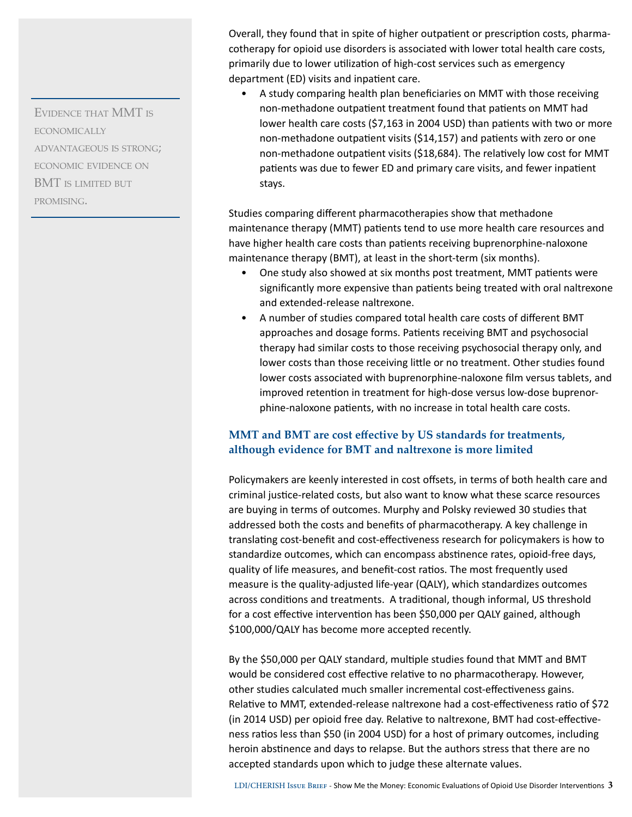Evidence that MMT is **ECONOMICALLY** advantageous is strong; economic evidence on BMT is limited but promising.

Overall, they found that in spite of higher outpatient or prescription costs, pharmacotherapy for opioid use disorders is associated with lower total health care costs, primarily due to lower utilization of high-cost services such as emergency department (ED) visits and inpatient care.

• A study comparing health plan beneficiaries on MMT with those receiving non-methadone outpatient treatment found that patients on MMT had lower health care costs (\$7,163 in 2004 USD) than patients with two or more non-methadone outpatient visits (\$14,157) and patients with zero or one non-methadone outpatient visits (\$18,684). The relatively low cost for MMT patients was due to fewer ED and primary care visits, and fewer inpatient stays.

Studies comparing different pharmacotherapies show that methadone maintenance therapy (MMT) patients tend to use more health care resources and have higher health care costs than patients receiving buprenorphine-naloxone maintenance therapy (BMT), at least in the short-term (six months).

- One study also showed at six months post treatment, MMT patients were significantly more expensive than patients being treated with oral naltrexone and extended-release naltrexone.
- A number of studies compared total health care costs of different BMT approaches and dosage forms. Patients receiving BMT and psychosocial therapy had similar costs to those receiving psychosocial therapy only, and lower costs than those receiving little or no treatment. Other studies found lower costs associated with buprenorphine-naloxone film versus tablets, and improved retention in treatment for high-dose versus low-dose buprenorphine-naloxone patients, with no increase in total health care costs.

## **MMT and BMT are cost effective by US standards for treatments, although evidence for BMT and naltrexone is more limited**

Policymakers are keenly interested in cost offsets, in terms of both health care and criminal justice-related costs, but also want to know what these scarce resources are buying in terms of outcomes. Murphy and Polsky reviewed 30 studies that addressed both the costs and benefits of pharmacotherapy. A key challenge in translating cost-benefit and cost-effectiveness research for policymakers is how to standardize outcomes, which can encompass abstinence rates, opioid-free days, quality of life measures, and benefit-cost ratios. The most frequently used measure is the quality-adjusted life-year (QALY), which standardizes outcomes across conditions and treatments. A traditional, though informal, US threshold for a cost effective intervention has been \$50,000 per QALY gained, although \$100,000/QALY has become more accepted recently.

By the \$50,000 per QALY standard, multiple studies found that MMT and BMT would be considered cost effective relative to no pharmacotherapy. However, other studies calculated much smaller incremental cost-effectiveness gains. Relative to MMT, extended-release naltrexone had a cost-effectiveness ratio of \$72 (in 2014 USD) per opioid free day. Relative to naltrexone, BMT had cost-effectiveness ratios less than \$50 (in 2004 USD) for a host of primary outcomes, including heroin abstinence and days to relapse. But the authors stress that there are no accepted standards upon which to judge these alternate values.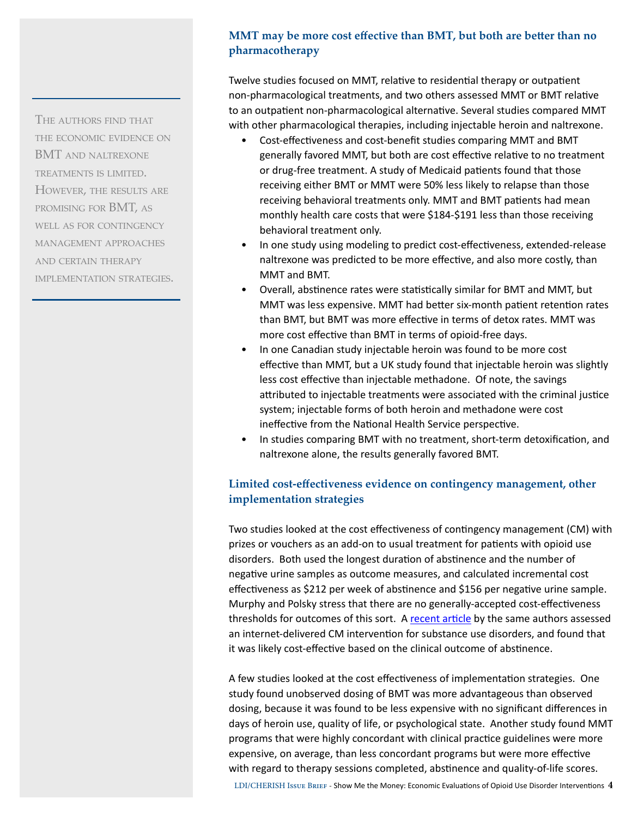# **MMT may be more cost effective than BMT, but both are better than no pharmacotherapy**

Twelve studies focused on MMT, relative to residential therapy or outpatient non-pharmacological treatments, and two others assessed MMT or BMT relative to an outpatient non-pharmacological alternative. Several studies compared MMT with other pharmacological therapies, including injectable heroin and naltrexone.

- Cost-effectiveness and cost-benefit studies comparing MMT and BMT generally favored MMT, but both are cost effective relative to no treatment or drug-free treatment. A study of Medicaid patients found that those receiving either BMT or MMT were 50% less likely to relapse than those receiving behavioral treatments only. MMT and BMT patients had mean monthly health care costs that were \$184-\$191 less than those receiving behavioral treatment only.
- In one study using modeling to predict cost-effectiveness, extended-release naltrexone was predicted to be more effective, and also more costly, than MMT and BMT.
- Overall, abstinence rates were statistically similar for BMT and MMT, but MMT was less expensive. MMT had better six-month patient retention rates than BMT, but BMT was more effective in terms of detox rates. MMT was more cost effective than BMT in terms of opioid-free days.
- In one Canadian study injectable heroin was found to be more cost effective than MMT, but a UK study found that injectable heroin was slightly less cost effective than injectable methadone. Of note, the savings attributed to injectable treatments were associated with the criminal justice system; injectable forms of both heroin and methadone were cost ineffective from the National Health Service perspective.
- In studies comparing BMT with no treatment, short-term detoxification, and naltrexone alone, the results generally favored BMT.

# **Limited cost-effectiveness evidence on contingency management, other implementation strategies**

Two studies looked at the cost effectiveness of contingency management (CM) with prizes or vouchers as an add-on to usual treatment for patients with opioid use disorders. Both used the longest duration of abstinence and the number of negative urine samples as outcome measures, and calculated incremental cost effectiveness as \$212 per week of abstinence and \$156 per negative urine sample. Murphy and Polsky stress that there are no generally-accepted cost-effectiveness thresholds for outcomes of this sort. A [recent article](http://www.sciencedirect.com/science/article/pii/S0376871616000491) by the same authors assessed an internet-delivered CM intervention for substance use disorders, and found that it was likely cost-effective based on the clinical outcome of abstinence.

A few studies looked at the cost effectiveness of implementation strategies. One study found unobserved dosing of BMT was more advantageous than observed dosing, because it was found to be less expensive with no significant differences in days of heroin use, quality of life, or psychological state. Another study found MMT programs that were highly concordant with clinical practice guidelines were more expensive, on average, than less concordant programs but were more effective with regard to therapy sessions completed, abstinence and quality-of-life scores.

The authors find that the economic evidence on BMT and naltrexone treatments is limited. However, the results are promising for BMT, as WELL AS FOR CONTINGENCY management approaches and certain therapy implementation strategies.